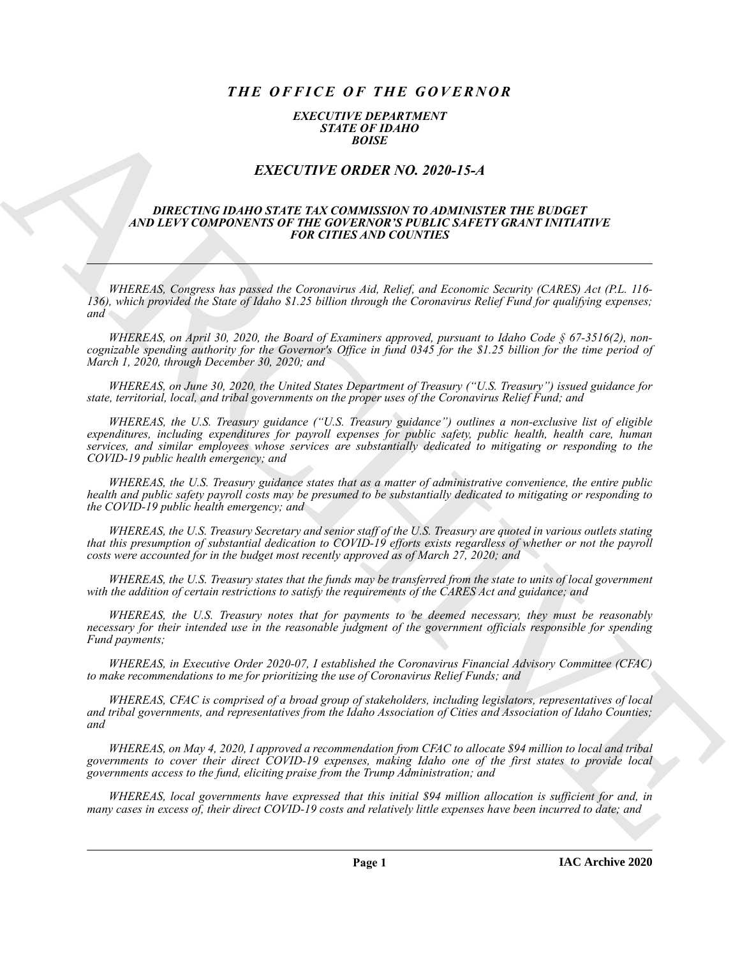# *THE OFFICE OF THE GOVERNOR*

### *EXECUTIVE DEPARTMENT STATE OF IDAHO BOISE*

## *EXECUTIVE ORDER NO. 2020-15-A*

### *DIRECTING IDAHO STATE TAX COMMISSION TO ADMINISTER THE BUDGET AND LEVY COMPONENTS OF THE GOVERNOR'S PUBLIC SAFETY GRANT INITIATIVE FOR CITIES AND COUNTIES*

*WHEREAS, Congress has passed the Coronavirus Aid, Relief, and Economic Security (CARES) Act (P.L. 116- 136), which provided the State of Idaho \$1.25 billion through the Coronavirus Relief Fund for qualifying expenses; and*

*WHEREAS, on April 30, 2020, the Board of Examiners approved, pursuant to Idaho Code § 67-3516(2), noncognizable spending authority for the Governor's Office in fund 0345 for the \$1.25 billion for the time period of March 1, 2020, through December 30, 2020; and*

*WHEREAS, on June 30, 2020, the United States Department of Treasury ("U.S. Treasury") issued guidance for state, territorial, local, and tribal governments on the proper uses of the Coronavirus Relief Fund; and*

**EXACTLE THE CONFERENCE AND ACTION**<br>
EXACTLE THE CONFERENCE AND **ARCHITECT CONFERENCE AND CONFERENCE AND INTERFERENCE AND ACTION**<br> **EXACTLE THE CONFERENCE AND CONFERENCE AND CONFERENCE AND INTERFERENCE AND INTERFERENCE AN** *WHEREAS, the U.S. Treasury guidance ("U.S. Treasury guidance") outlines a non-exclusive list of eligible expenditures, including expenditures for payroll expenses for public safety, public health, health care, human services, and similar employees whose services are substantially dedicated to mitigating or responding to the COVID-19 public health emergency; and*

*WHEREAS, the U.S. Treasury guidance states that as a matter of administrative convenience, the entire public health and public safety payroll costs may be presumed to be substantially dedicated to mitigating or responding to the COVID-19 public health emergency; and*

*WHEREAS, the U.S. Treasury Secretary and senior staff of the U.S. Treasury are quoted in various outlets stating that this presumption of substantial dedication to COVID-19 efforts exists regardless of whether or not the payroll costs were accounted for in the budget most recently approved as of March 27, 2020; and*

*WHEREAS, the U.S. Treasury states that the funds may be transferred from the state to units of local government with the addition of certain restrictions to satisfy the requirements of the CARES Act and guidance; and*

*WHEREAS, the U.S. Treasury notes that for payments to be deemed necessary, they must be reasonably necessary for their intended use in the reasonable judgment of the government officials responsible for spending Fund payments;*

*WHEREAS, in Executive Order 2020-07, I established the Coronavirus Financial Advisory Committee (CFAC) to make recommendations to me for prioritizing the use of Coronavirus Relief Funds; and*

*WHEREAS, CFAC is comprised of a broad group of stakeholders, including legislators, representatives of local and tribal governments, and representatives from the Idaho Association of Cities and Association of Idaho Counties; and*

*WHEREAS, on May 4, 2020, I approved a recommendation from CFAC to allocate \$94 million to local and tribal governments to cover their direct COVID-19 expenses, making Idaho one of the first states to provide local governments access to the fund, eliciting praise from the Trump Administration; and*

*WHEREAS, local governments have expressed that this initial \$94 million allocation is sufficient for and, in many cases in excess of, their direct COVID-19 costs and relatively little expenses have been incurred to date; and*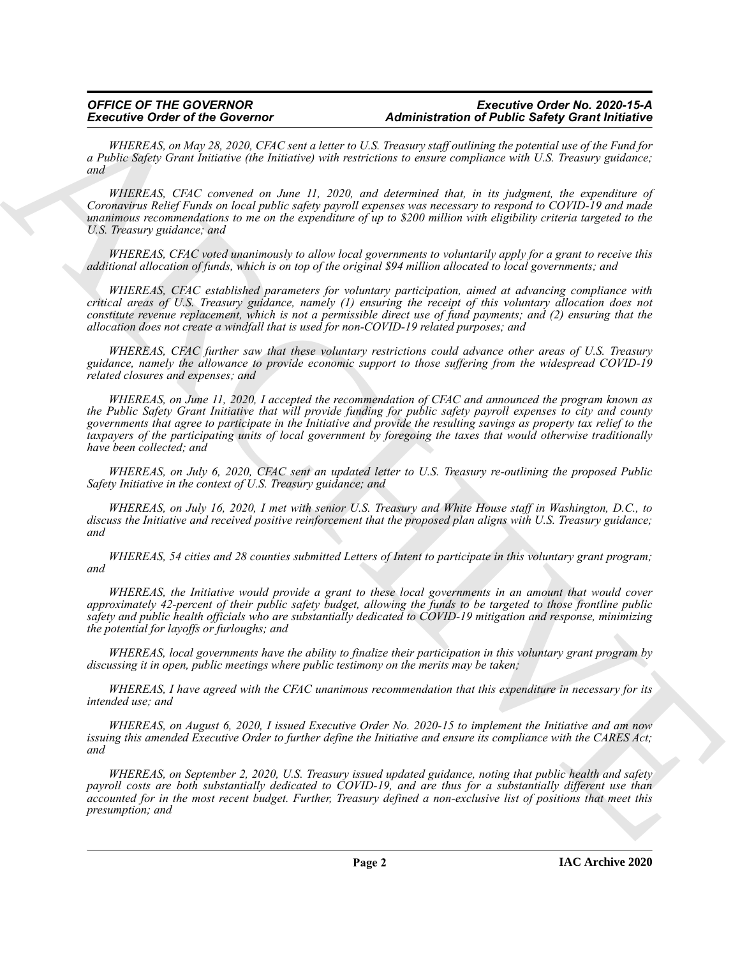### *OFFICE OF THE GOVERNOR Executive Order No. 2020-15-A* **Administration of Public Safety Grant Initiative**

*WHEREAS, on May 28, 2020, CFAC sent a letter to U.S. Treasury staff outlining the potential use of the Fund for a Public Safety Grant Initiative (the Initiative) with restrictions to ensure compliance with U.S. Treasury guidance; and*

*WHEREAS, CFAC convened on June 11, 2020, and determined that, in its judgment, the expenditure of Coronavirus Relief Funds on local public safety payroll expenses was necessary to respond to COVID-19 and made unanimous recommendations to me on the expenditure of up to \$200 million with eligibility criteria targeted to the U.S. Treasury guidance; and*

*WHEREAS, CFAC voted unanimously to allow local governments to voluntarily apply for a grant to receive this additional allocation of funds, which is on top of the original \$94 million allocated to local governments; and*

*WHEREAS, CFAC established parameters for voluntary participation, aimed at advancing compliance with critical areas of U.S. Treasury guidance, namely (1) ensuring the receipt of this voluntary allocation does not constitute revenue replacement, which is not a permissible direct use of fund payments; and (2) ensuring that the allocation does not create a windfall that is used for non-COVID-19 related purposes; and*

*WHEREAS, CFAC further saw that these voluntary restrictions could advance other areas of U.S. Treasury guidance, namely the allowance to provide economic support to those suffering from the widespread COVID-19 related closures and expenses; and*

**Excessive Order of the Government** of the material deterministic and Finding the order or the state of the control of the control of the control of the control of the control of the control of the control of the control *WHEREAS, on June 11, 2020, I accepted the recommendation of CFAC and announced the program known as the Public Safety Grant Initiative that will provide funding for public safety payroll expenses to city and county governments that agree to participate in the Initiative and provide the resulting savings as property tax relief to the taxpayers of the participating units of local government by foregoing the taxes that would otherwise traditionally have been collected; and*

*WHEREAS, on July 6, 2020, CFAC sent an updated letter to U.S. Treasury re-outlining the proposed Public Safety Initiative in the context of U.S. Treasury guidance; and*

*WHEREAS, on July 16, 2020, I met with senior U.S. Treasury and White House staff in Washington, D.C., to discuss the Initiative and received positive reinforcement that the proposed plan aligns with U.S. Treasury guidance; and*

*WHEREAS, 54 cities and 28 counties submitted Letters of Intent to participate in this voluntary grant program; and*

*WHEREAS, the Initiative would provide a grant to these local governments in an amount that would cover approximately 42-percent of their public safety budget, allowing the funds to be targeted to those frontline public safety and public health officials who are substantially dedicated to COVID-19 mitigation and response, minimizing the potential for layoffs or furloughs; and*

*WHEREAS, local governments have the ability to finalize their participation in this voluntary grant program by discussing it in open, public meetings where public testimony on the merits may be taken;*

*WHEREAS, I have agreed with the CFAC unanimous recommendation that this expenditure in necessary for its intended use; and*

*WHEREAS, on August 6, 2020, I issued Executive Order No. 2020-15 to implement the Initiative and am now issuing this amended Executive Order to further define the Initiative and ensure its compliance with the CARES Act; and*

*WHEREAS, on September 2, 2020, U.S. Treasury issued updated guidance, noting that public health and safety payroll costs are both substantially dedicated to COVID-19, and are thus for a substantially different use than accounted for in the most recent budget. Further, Treasury defined a non-exclusive list of positions that meet this presumption; and*